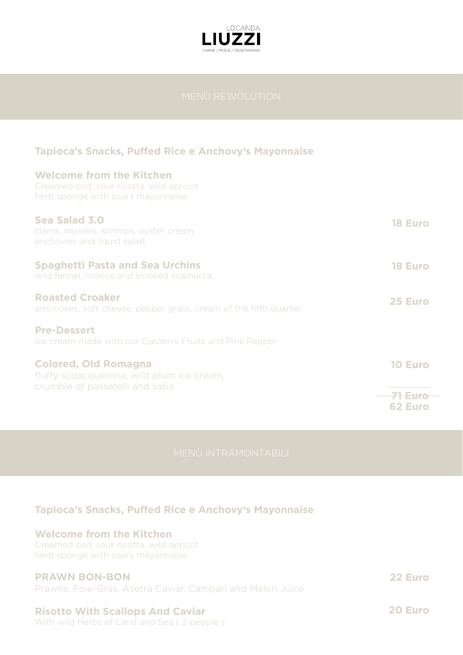

## **Tapioca's Snacks, Puffed Rice e Anchovy's Mayonnaise**

| <b>Welcome from the Kitchen</b><br>Creamed cod, sour ricotta, wild apricot<br>herb sponge with soja's mayonnaise. |                |
|-------------------------------------------------------------------------------------------------------------------|----------------|
| Sea Salad 3.0<br>clams, mussels, shrimps, oyster cream,<br>anchovies and liquid salad.                            | <b>18 Euro</b> |
| <b>Spaghetti Pasta and Sea Urchins</b><br>wild fennel, licorice and smoked scamorza.                              | <b>18 Euro</b> |
| <b>Roasted Croaker</b><br>artichokes, soft cheese, pepper grass, cream of the fifth quarter                       | 25 Euro        |
| <b>Pre-Dessert</b><br>Ice cream made with our Garden's Fruits and Pink Pepper                                     |                |
| <b>Colored, Old Romagna</b><br>fluffy scgacquerone, wild plum ice cream,<br>crumble of passatelli and saba        | <b>10 Euro</b> |
|                                                                                                                   | <b>62 Euro</b> |

## **Tapioca's Snacks, Puffed Rice e Anchovy's Mayonnaise**

#### **Welcome from the Kitchen**

Creamed cod, sour ricotta, wild apricot herb sponge with soja's mayonnaise.

## **PRAWN BON-BON**

Prawns, Foie-Gras, Asetra Caviar, Campari and Melon Juice

### **Risotto With Scallops And Caviar**

With wild Herbs of Land and Sea ( 2 people )

**22 Euro**

**20 Euro**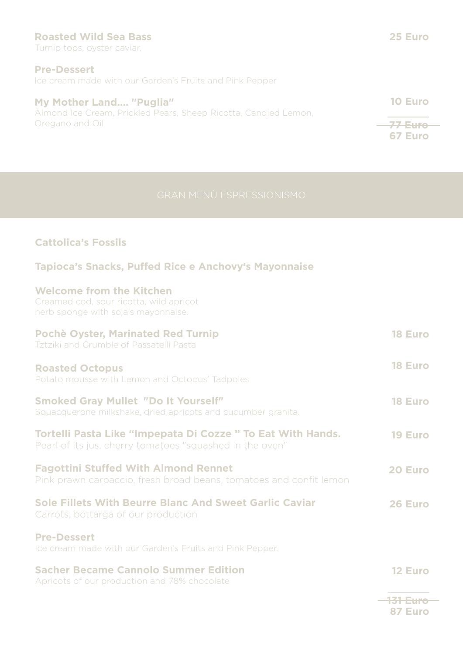#### **Roasted Wild Sea Bass**

Turnip tops, oyster caviar.

#### **Pre-Dessert**

Ice cream made with our Garden's Fruits and Pink Pepper

#### **My Mother Land…. "Puglia"**

Almond Ice Cream, Prickled Pears, Sheep Ricotta, Candied Lemon, Oregano and Oil

# **77 Euro 67 Euro**

**10 Euro**

## **Cattolica's Fossils**

## **Tapioca's Snacks, Puffed Rice e Anchovy's Mayonnaise**

#### **Welcome from the Kitchen**

Creamed cod, sour ricotta, wild apricot herb sponge with soja's mayonnaise.

| <b>Pochè Oyster, Marinated Red Turnip</b><br>Tztziki and Crumble of Passatelli Pasta                                   | <b>18 Euro</b> |
|------------------------------------------------------------------------------------------------------------------------|----------------|
| <b>Roasted Octopus</b><br>Potato mousse with Lemon and Octopus' Tadpoles                                               | <b>18 Euro</b> |
| <b>Smoked Gray Mullet "Do It Yourself"</b><br>Squacquerone milkshake, dried apricots and cucumber granita.             | <b>18 Euro</b> |
| Tortelli Pasta Like "Impepata Di Cozze" To Eat With Hands.<br>Pearl of its jus, cherry tomatoes "squashed in the oven" | <b>19 Euro</b> |
| <b>Fagottini Stuffed With Almond Rennet</b><br>Pink prawn carpaccio, fresh broad beans, tomatoes and confit lemon      | 20 Euro        |
| <b>Sole Fillets With Beurre Blanc And Sweet Garlic Caviar</b><br>Carrots, bottarga of our production                   | 26 Euro        |
| <b>Pre-Dessert</b><br>Ice cream made with our Garden's Fruits and Pink Pepper.                                         |                |
| <b>Sacher Became Cannolo Summer Edition</b><br>Apricots of our production and 78% chocolate                            | <b>12 Euro</b> |

**131 Euro 87 Euro**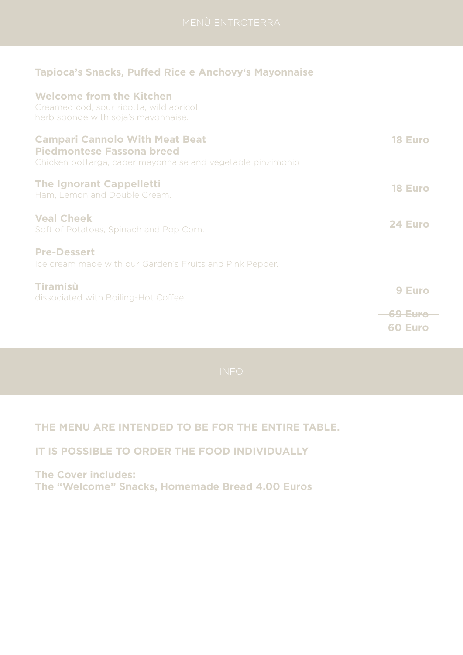## **Tapioca's Snacks, Puffed Rice e Anchovy's Mayonnaise**

## **Welcome from the Kitchen**

Creamed cod, sour ricotta, wild apricot herb sponge with soja's mayonnaise.

| <b>Campari Cannolo With Meat Beat</b><br><b>Piedmontese Fassona breed</b><br>Chicken bottarga, caper mayonnaise and vegetable pinzimonio | <b>18 Euro</b>               |
|------------------------------------------------------------------------------------------------------------------------------------------|------------------------------|
| <b>The Ignorant Cappelletti</b><br>Ham, Lemon and Double Cream.                                                                          | <b>18 Euro</b>               |
| <b>Veal Cheek</b><br>Soft of Potatoes, Spinach and Pop Corn.                                                                             | 24 Euro                      |
| <b>Pre-Dessert</b><br>Ice cream made with our Garden's Fruits and Pink Pepper.                                                           |                              |
| Tiramisù<br>dissociated with Boiling-Hot Coffee.                                                                                         | 9 Euro<br>69 Euro<br>60 Euro |

# **THE MENU ARE INTENDED TO BE FOR THE ENTIRE TABLE.**

## **IT IS POSSIBLE TO ORDER THE FOOD INDIVIDUALLY**

**The Cover includes: The "Welcome" Snacks, Homemade Bread 4.00 Euros**